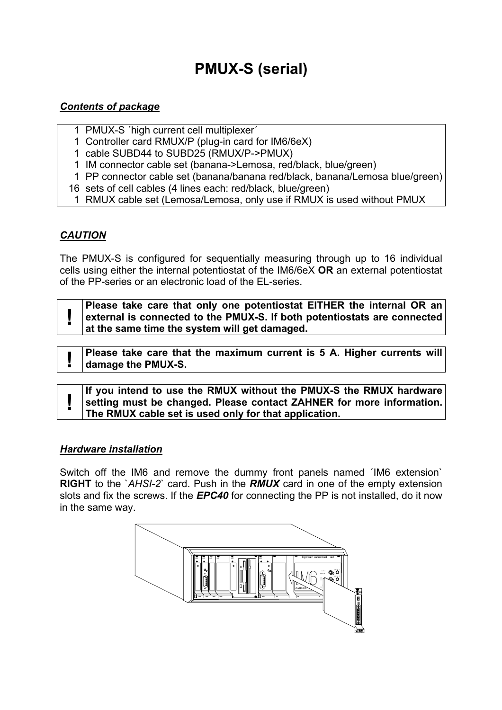# **PMUX-S (serial)**

#### *Contents of package*

- 1 PMUX-S ´high current cell multiplexer´
- 1 Controller card RMUX/P (plug-in card for IM6/6eX)
- 1 cable SUBD44 to SUBD25 (RMUX/P->PMUX)
- 1 IM connector cable set (banana->Lemosa, red/black, blue/green)
- 1 PP connector cable set (banana/banana red/black, banana/Lemosa blue/green)
- 16 sets of cell cables (4 lines each: red/black, blue/green)
- 1 RMUX cable set (Lemosa/Lemosa, only use if RMUX is used without PMUX

## *CAUTION*

The PMUX-S is configured for sequentially measuring through up to 16 individual cells using either the internal potentiostat of the IM6/6eX **OR** an external potentiostat of the PP-series or an electronic load of the EL-series.

| Please take care that only one potentiostat EITHER the internal OR an<br>external is connected to the PMUX-S. If both potentiostats are connected |
|---------------------------------------------------------------------------------------------------------------------------------------------------|
| $ $ at the same time the system will get damaged.                                                                                                 |

**Please take care that the maximum current is 5 A. Higher currents will algorate the DMIX O damage the PMUX-S.** 

**If you intend to use the RMUX without the PMUX-S the RMUX hardware**<br> **example information.**<br>
The PMUX cable set is used only for that application. **The RMUX cable set is used only for that application.** 

#### *Hardware installation*

Switch off the IM6 and remove the dummy front panels named ´IM6 extension` **RIGHT** to the `*AHSI-2*` card. Push in the *RMUX* card in one of the empty extension slots and fix the screws. If the *EPC40* for connecting the PP is not installed, do it now in the same way.